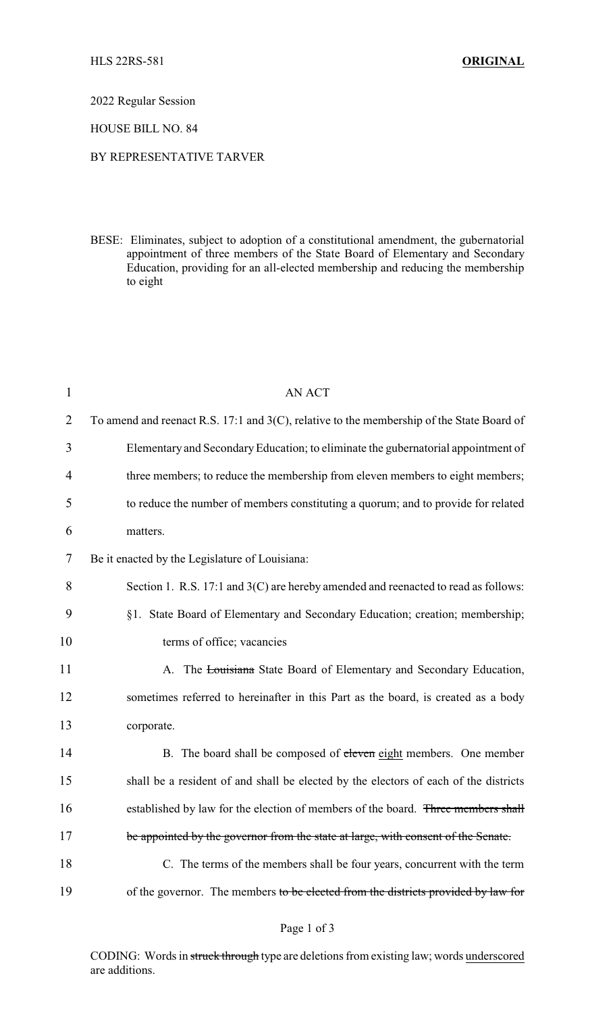2022 Regular Session

HOUSE BILL NO. 84

## BY REPRESENTATIVE TARVER

BESE: Eliminates, subject to adoption of a constitutional amendment, the gubernatorial appointment of three members of the State Board of Elementary and Secondary Education, providing for an all-elected membership and reducing the membership to eight

| $\mathbf{1}$   | <b>AN ACT</b>                                                                                |
|----------------|----------------------------------------------------------------------------------------------|
| $\overline{2}$ | To amend and reenact R.S. 17:1 and $3(C)$ , relative to the membership of the State Board of |
| 3              | Elementary and Secondary Education; to eliminate the gubernatorial appointment of            |
| $\overline{4}$ | three members; to reduce the membership from eleven members to eight members;                |
| 5              | to reduce the number of members constituting a quorum; and to provide for related            |
| 6              | matters.                                                                                     |
| 7              | Be it enacted by the Legislature of Louisiana:                                               |
| 8              | Section 1. R.S. 17:1 and 3(C) are hereby amended and reenacted to read as follows:           |
| 9              | §1. State Board of Elementary and Secondary Education; creation; membership;                 |
| 10             | terms of office; vacancies                                                                   |
| 11             | A. The Louisiana State Board of Elementary and Secondary Education,                          |
| 12             | sometimes referred to hereinafter in this Part as the board, is created as a body            |
| 13             | corporate.                                                                                   |
| 14             | B. The board shall be composed of eleven eight members. One member                           |
| 15             | shall be a resident of and shall be elected by the electors of each of the districts         |
| 16             | established by law for the election of members of the board. Three members shall             |
| 17             | be appointed by the governor from the state at large, with consent of the Senate.            |
| 18             | C. The terms of the members shall be four years, concurrent with the term                    |
| 19             | of the governor. The members to be elected from the districts provided by law for            |

CODING: Words in struck through type are deletions from existing law; words underscored are additions.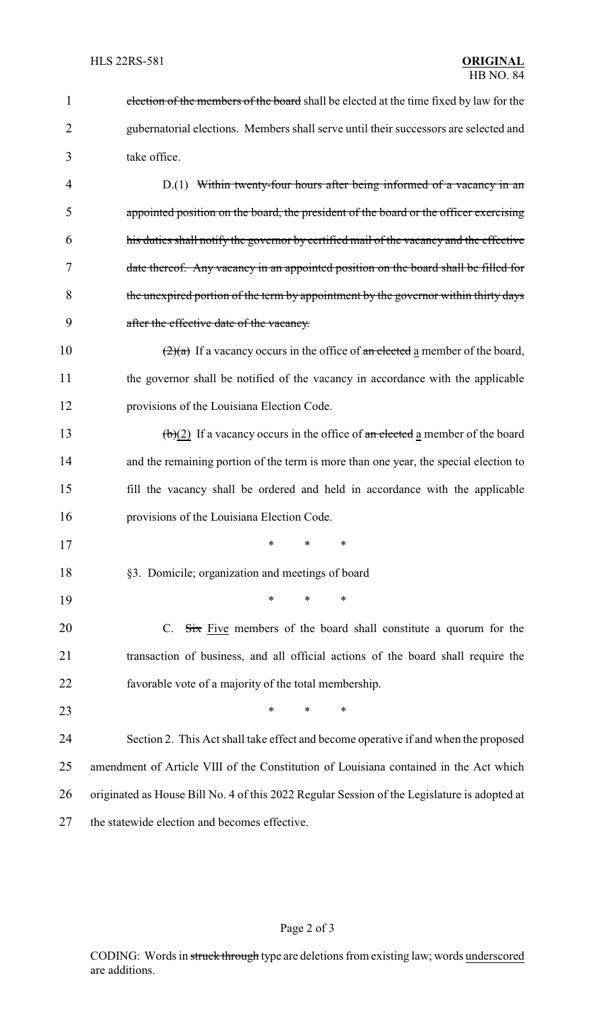| $\mathbf{1}$   | election of the members of the board shall be elected at the time fixed by law for the            |  |  |
|----------------|---------------------------------------------------------------------------------------------------|--|--|
| $\overline{2}$ | gubernatorial elections. Members shall serve until their successors are selected and              |  |  |
| 3              | take office.                                                                                      |  |  |
| 4              | $D(1)$ Within twenty-four hours after being informed of a vacancy in an                           |  |  |
| 5              | appointed position on the board, the president of the board or the officer exercising             |  |  |
| 6              | his duties shall notify the governor by certified mail of the vacancy and the effective           |  |  |
| 7              | date thereof. Any vacancy in an appointed position on the board shall be filled for               |  |  |
| 8              | the unexpired portion of the term by appointment by the governor within thirty days               |  |  |
| 9              | after the effective date of the vacancy.                                                          |  |  |
| 10             | $\left(\frac{2}{a}\right)$ If a vacancy occurs in the office of an elected a member of the board, |  |  |
| 11             | the governor shall be notified of the vacancy in accordance with the applicable                   |  |  |
| 12             | provisions of the Louisiana Election Code.                                                        |  |  |
| 13             | $\left(\frac{b}{2}\right)$ If a vacancy occurs in the office of an elected a member of the board  |  |  |
| 14             | and the remaining portion of the term is more than one year, the special election to              |  |  |
| 15             | fill the vacancy shall be ordered and held in accordance with the applicable                      |  |  |
| 16             | provisions of the Louisiana Election Code.                                                        |  |  |
| 17             | ∗                                                                                                 |  |  |
| 18             | §3. Domicile; organization and meetings of board                                                  |  |  |
| 19             | *<br>*<br>*                                                                                       |  |  |
| 20             | C. $\overrightarrow{Six}$ Five members of the board shall constitute a quorum for the             |  |  |
| 21             | transaction of business, and all official actions of the board shall require the                  |  |  |
| 22             | favorable vote of a majority of the total membership.                                             |  |  |
| 23             | $\ast$<br>*<br>*                                                                                  |  |  |
| 24             | Section 2. This Act shall take effect and become operative if and when the proposed               |  |  |
| 25             | amendment of Article VIII of the Constitution of Louisiana contained in the Act which             |  |  |
| 26             | originated as House Bill No. 4 of this 2022 Regular Session of the Legislature is adopted at      |  |  |
| 27             | the statewide election and becomes effective.                                                     |  |  |